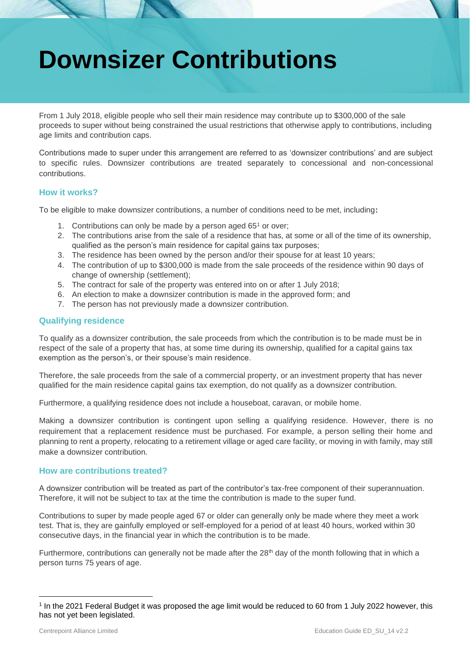# **Downsizer Contributions**

From 1 July 2018, eligible people who sell their main residence may contribute up to \$300,000 of the sale proceeds to super without being constrained the usual restrictions that otherwise apply to contributions, including age limits and contribution caps.

Contributions made to super under this arrangement are referred to as 'downsizer contributions' and are subject to specific rules. Downsizer contributions are treated separately to concessional and non-concessional contributions.

# **How it works?**

To be eligible to make downsizer contributions, a number of conditions need to be met, including**:**

- 1. Contributions can only be made by a person aged  $65<sup>1</sup>$  or over;
- 2. The contributions arise from the sale of a residence that has, at some or all of the time of its ownership, qualified as the person's main residence for capital gains tax purposes;
- 3. The residence has been owned by the person and/or their spouse for at least 10 years;
- 4. The contribution of up to \$300,000 is made from the sale proceeds of the residence within 90 days of change of ownership (settlement);
- 5. The contract for sale of the property was entered into on or after 1 July 2018;
- 6. An election to make a downsizer contribution is made in the approved form; and
- 7. The person has not previously made a downsizer contribution.

# **Qualifying residence**

To qualify as a downsizer contribution, the sale proceeds from which the contribution is to be made must be in respect of the sale of a property that has, at some time during its ownership, qualified for a capital gains tax exemption as the person's, or their spouse's main residence.

Therefore, the sale proceeds from the sale of a commercial property, or an investment property that has never qualified for the main residence capital gains tax exemption, do not qualify as a downsizer contribution.

Furthermore, a qualifying residence does not include a houseboat, caravan, or mobile home.

Making a downsizer contribution is contingent upon selling a qualifying residence. However, there is no requirement that a replacement residence must be purchased. For example, a person selling their home and planning to rent a property, relocating to a retirement village or aged care facility, or moving in with family, may still make a downsizer contribution.

# **How are contributions treated?**

A downsizer contribution will be treated as part of the contributor's tax-free component of their superannuation. Therefore, it will not be subject to tax at the time the contribution is made to the super fund.

Contributions to super by made people aged 67 or older can generally only be made where they meet a work test. That is, they are gainfully employed or self-employed for a period of at least 40 hours, worked within 30 consecutive days, in the financial year in which the contribution is to be made.

Furthermore, contributions can generally not be made after the  $28<sup>th</sup>$  day of the month following that in which a person turns 75 years of age.

<sup>1</sup> In the 2021 Federal Budget it was proposed the age limit would be reduced to 60 from 1 July 2022 however, this has not yet been legislated.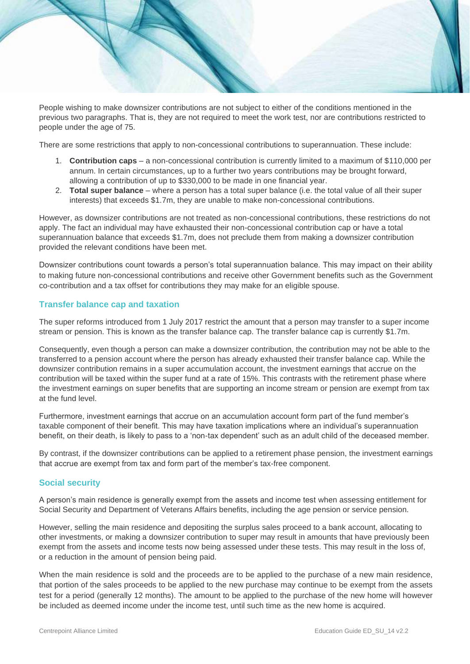People wishing to make downsizer contributions are not subject to either of the conditions mentioned in the previous two paragraphs. That is, they are not required to meet the work test, nor are contributions restricted to people under the age of 75.

There are some restrictions that apply to non-concessional contributions to superannuation. These include:

- 1. **Contribution caps** a non-concessional contribution is currently limited to a maximum of \$110,000 per annum. In certain circumstances, up to a further two years contributions may be brought forward, allowing a contribution of up to \$330,000 to be made in one financial year.
- 2. **Total super balance** where a person has a total super balance (i.e. the total value of all their super interests) that exceeds \$1.7m, they are unable to make non-concessional contributions.

However, as downsizer contributions are not treated as non-concessional contributions, these restrictions do not apply. The fact an individual may have exhausted their non-concessional contribution cap or have a total superannuation balance that exceeds \$1.7m, does not preclude them from making a downsizer contribution provided the relevant conditions have been met.

Downsizer contributions count towards a person's total superannuation balance. This may impact on their ability to making future non-concessional contributions and receive other Government benefits such as the Government co-contribution and a tax offset for contributions they may make for an eligible spouse.

#### **Transfer balance cap and taxation**

The super reforms introduced from 1 July 2017 restrict the amount that a person may transfer to a super income stream or pension. This is known as the transfer balance cap. The transfer balance cap is currently \$1.7m.

Consequently, even though a person can make a downsizer contribution, the contribution may not be able to the transferred to a pension account where the person has already exhausted their transfer balance cap. While the downsizer contribution remains in a super accumulation account, the investment earnings that accrue on the contribution will be taxed within the super fund at a rate of 15%. This contrasts with the retirement phase where the investment earnings on super benefits that are supporting an income stream or pension are exempt from tax at the fund level.

Furthermore, investment earnings that accrue on an accumulation account form part of the fund member's taxable component of their benefit. This may have taxation implications where an individual's superannuation benefit, on their death, is likely to pass to a 'non-tax dependent' such as an adult child of the deceased member.

By contrast, if the downsizer contributions can be applied to a retirement phase pension, the investment earnings that accrue are exempt from tax and form part of the member's tax-free component.

#### **Social security**

A person's main residence is generally exempt from the assets and income test when assessing entitlement for Social Security and Department of Veterans Affairs benefits, including the age pension or service pension.

However, selling the main residence and depositing the surplus sales proceed to a bank account, allocating to other investments, or making a downsizer contribution to super may result in amounts that have previously been exempt from the assets and income tests now being assessed under these tests. This may result in the loss of, or a reduction in the amount of pension being paid.

When the main residence is sold and the proceeds are to be applied to the purchase of a new main residence, that portion of the sales proceeds to be applied to the new purchase may continue to be exempt from the assets test for a period (generally 12 months). The amount to be applied to the purchase of the new home will however be included as deemed income under the income test, until such time as the new home is acquired.